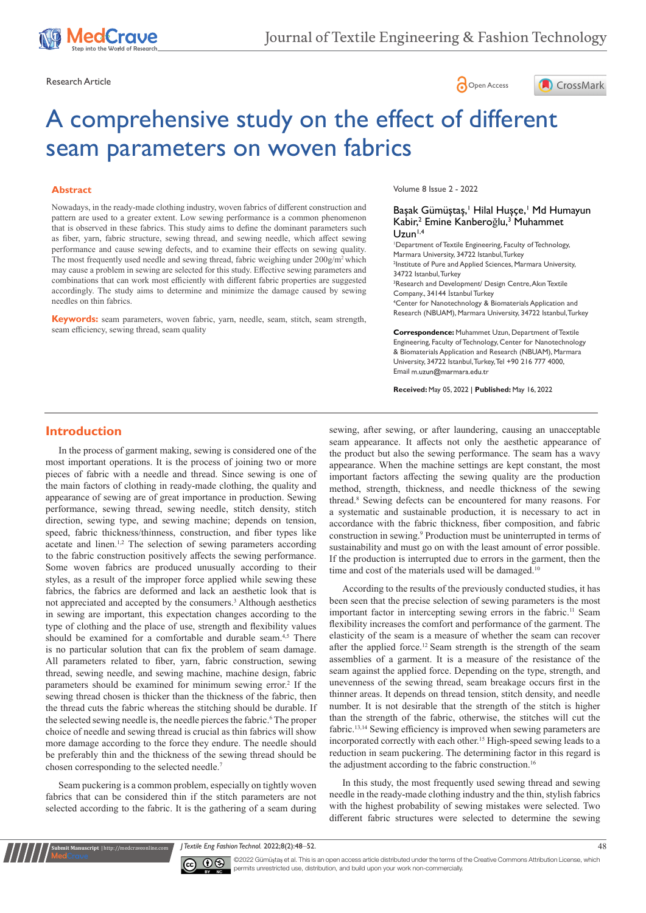





# A comprehensive study on the effect of different seam parameters on woven fabrics

#### **Abstract**

Nowadays, in the ready-made clothing industry, woven fabrics of different construction and pattern are used to a greater extent. Low sewing performance is a common phenomenon that is observed in these fabrics. This study aims to define the dominant parameters such as fiber, yarn, fabric structure, sewing thread, and sewing needle, which affect sewing performance and cause sewing defects, and to examine their effects on sewing quality. The most frequently used needle and sewing thread, fabric weighing under  $200g/m^2$  which may cause a problem in sewing are selected for this study. Effective sewing parameters and combinations that can work most efficiently with different fabric properties are suggested accordingly. The study aims to determine and minimize the damage caused by sewing needles on thin fabrics.

**Keywords:** seam parameters, woven fabric, yarn, needle, seam, stitch, seam strength, seam efficiency, sewing thread, seam quality

Volume 8 Issue 2 - 2022

#### Başak Gümüştaş,<sup>1</sup> Hilal Huşçe,<sup>1</sup> Md Humayun Kabir,<sup>2</sup> Emine Kanberoğlu,<sup>3</sup> Muhammet  $U$ zun<sup> $1,4$ </sup>

1 Department of Textile Engineering, Faculty of Technology, Marmara University, 34722 Istanbul, Turkey 2 Institute of Pure and Applied Sciences, Marmara University, 34722 Istanbul, Turkey 3 Research and Development/ Design Centre, Akın Textile Company., 34144 İstanbul Turkey 4 Center for Nanotechnology & Biomaterials Application and Research (NBUAM), Marmara University, 34722 Istanbul, Turkey

**Correspondence:** Muhammet Uzun, Department of Textile Engineering, Faculty of Technology, Center for Nanotechnology & Biomaterials Application and Research (NBUAM), Marmara University, 34722 Istanbul, Turkey, Tel +90 216 777 4000, Email m.uzun@marmara.edu.tr

**Received:** May 05, 2022 | **Published:** May 16, 2022

# **Introduction**

In the process of garment making, sewing is considered one of the most important operations. It is the process of joining two or more pieces of fabric with a needle and thread. Since sewing is one of the main factors of clothing in ready-made clothing, the quality and appearance of sewing are of great importance in production. Sewing performance, sewing thread, sewing needle, stitch density, stitch direction, sewing type, and sewing machine; depends on tension, speed, fabric thickness/thinness, construction, and fiber types like acetate and linen.<sup>1,2</sup> The selection of sewing parameters according to the fabric construction positively affects the sewing performance. Some woven fabrics are produced unusually according to their styles, as a result of the improper force applied while sewing these fabrics, the fabrics are deformed and lack an aesthetic look that is not appreciated and accepted by the consumers.<sup>3</sup> Although aesthetics in sewing are important, this expectation changes according to the type of clothing and the place of use, strength and flexibility values should be examined for a comfortable and durable seam.<sup>4,5</sup> There is no particular solution that can fix the problem of seam damage. All parameters related to fiber, yarn, fabric construction, sewing thread, sewing needle, and sewing machine, machine design, fabric parameters should be examined for minimum sewing error.<sup>2</sup> If the sewing thread chosen is thicker than the thickness of the fabric, then the thread cuts the fabric whereas the stitching should be durable. If the selected sewing needle is, the needle pierces the fabric.<sup>6</sup> The proper choice of needle and sewing thread is crucial as thin fabrics will show more damage according to the force they endure. The needle should be preferably thin and the thickness of the sewing thread should be chosen corresponding to the selected needle.7

Seam puckering is a common problem, especially on tightly woven fabrics that can be considered thin if the stitch parameters are not selected according to the fabric. It is the gathering of a seam during

**it Manuscript** | http://medcraveonline.co

sewing, after sewing, or after laundering, causing an unacceptable seam appearance. It affects not only the aesthetic appearance of the product but also the sewing performance. The seam has a wavy appearance. When the machine settings are kept constant, the most important factors affecting the sewing quality are the production method, strength, thickness, and needle thickness of the sewing thread.8 Sewing defects can be encountered for many reasons. For a systematic and sustainable production, it is necessary to act in accordance with the fabric thickness, fiber composition, and fabric construction in sewing.<sup>9</sup> Production must be uninterrupted in terms of sustainability and must go on with the least amount of error possible. If the production is interrupted due to errors in the garment, then the time and cost of the materials used will be damaged.<sup>10</sup>

According to the results of the previously conducted studies, it has been seen that the precise selection of sewing parameters is the most important factor in intercepting sewing errors in the fabric.<sup>11</sup> Seam flexibility increases the comfort and performance of the garment. The elasticity of the seam is a measure of whether the seam can recover after the applied force.<sup>12</sup> Seam strength is the strength of the seam assemblies of a garment. It is a measure of the resistance of the seam against the applied force. Depending on the type, strength, and unevenness of the sewing thread, seam breakage occurs first in the thinner areas. It depends on thread tension, stitch density, and needle number. It is not desirable that the strength of the stitch is higher than the strength of the fabric, otherwise, the stitches will cut the fabric.13,14 Sewing efficiency is improved when sewing parameters are incorporated correctly with each other.15 High-speed sewing leads to a reduction in seam puckering. The determining factor in this regard is the adjustment according to the fabric construction.<sup>16</sup>

In this study, the most frequently used sewing thread and sewing needle in the ready-made clothing industry and the thin, stylish fabrics with the highest probability of sewing mistakes were selected. Two different fabric structures were selected to determine the sewing

*J Textile Eng Fashion Technol.* 2022;8(2):48‒52. 48



©2022 Gümüştaş et al. This is an open access article distributed under the terms of the Creative Commons Attribution License, which permits unrestricted use, distribution, and build upon your work non-commercially.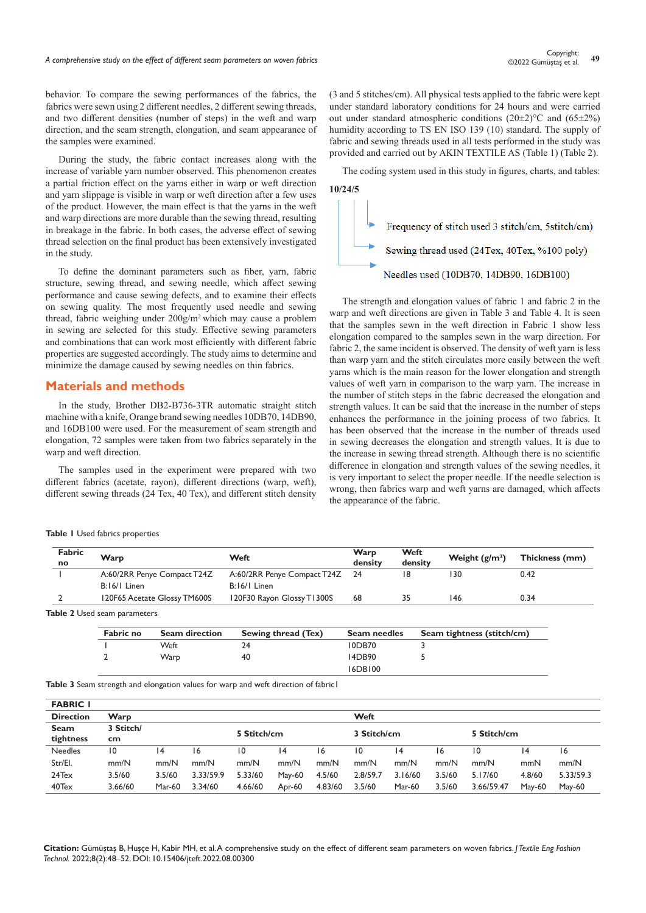behavior. To compare the sewing performances of the fabrics, the fabrics were sewn using 2 different needles, 2 different sewing threads, and two different densities (number of steps) in the weft and warp direction, and the seam strength, elongation, and seam appearance of the samples were examined.

During the study, the fabric contact increases along with the increase of variable yarn number observed. This phenomenon creates a partial friction effect on the yarns either in warp or weft direction and yarn slippage is visible in warp or weft direction after a few uses of the product. However, the main effect is that the yarns in the weft and warp directions are more durable than the sewing thread, resulting in breakage in the fabric. In both cases, the adverse effect of sewing thread selection on the final product has been extensively investigated in the study.

To define the dominant parameters such as fiber, yarn, fabric structure, sewing thread, and sewing needle, which affect sewing performance and cause sewing defects, and to examine their effects on sewing quality. The most frequently used needle and sewing thread, fabric weighing under 200g/m2 which may cause a problem in sewing are selected for this study. Effective sewing parameters and combinations that can work most efficiently with different fabric properties are suggested accordingly. The study aims to determine and minimize the damage caused by sewing needles on thin fabrics.

#### **Materials and methods**

In the study, Brother DB2-B736-3TR automatic straight stitch machine with a knife, Orange brand sewing needles 10DB70, 14DB90, and 16DB100 were used. For the measurement of seam strength and elongation, 72 samples were taken from two fabrics separately in the warp and weft direction.

The samples used in the experiment were prepared with two different fabrics (acetate, rayon), different directions (warp, weft), different sewing threads (24 Tex, 40 Tex), and different stitch density

**Table 1** Used fabrics properties

(3 and 5 stitches/cm). All physical tests applied to the fabric were kept under standard laboratory conditions for 24 hours and were carried out under standard atmospheric conditions  $(20\pm2)$ °C and  $(65\pm2%)$ humidity according to TS EN ISO 139 (10) standard. The supply of fabric and sewing threads used in all tests performed in the study was provided and carried out by AKIN TEXTILE AS (Table 1) (Table 2).

The coding system used in this study in figures, charts, and tables: **10/24/5**



The strength and elongation values of fabric 1 and fabric 2 in the warp and weft directions are given in Table 3 and Table 4. It is seen that the samples sewn in the weft direction in Fabric 1 show less elongation compared to the samples sewn in the warp direction. For fabric 2, the same incident is observed. The density of weft yarn is less than warp yarn and the stitch circulates more easily between the weft yarns which is the main reason for the lower elongation and strength values of weft yarn in comparison to the warp yarn. The increase in the number of stitch steps in the fabric decreased the elongation and strength values. It can be said that the increase in the number of steps enhances the performance in the joining process of two fabrics. It has been observed that the increase in the number of threads used in sewing decreases the elongation and strength values. It is due to the increase in sewing thread strength. Although there is no scientific difference in elongation and strength values of the sewing needles, it is very important to select the proper needle. If the needle selection is wrong, then fabrics warp and weft yarns are damaged, which affects the appearance of the fabric.

| Fabric<br>no | Warp                         | Weft                           | Warp<br>density | Weft<br>density | Weight $\left(\frac{g}{m^2}\right)$ | Thickness (mm) |
|--------------|------------------------------|--------------------------------|-----------------|-----------------|-------------------------------------|----------------|
|              | A:60/2RR Penye Compact T24Z  | A:60/2RR Penye Compact T24Z 24 |                 |                 | 30                                  | 0.42           |
|              | $B:16/1$ Linen               | $B:16/1$ Linen                 |                 |                 |                                     |                |
|              | 120F65 Acetate Glossy TM600S | 120F30 Rayon Glossy T1300S     | 68              |                 | 146                                 | 0.34           |
|              |                              |                                |                 |                 |                                     |                |

**Table 2** Used seam parameters

| <b>Fabric no</b> | <b>Seam direction</b> | Sewing thread (Tex) | Seam needles  | Seam tightness (stitch/cm) |  |  |  |  |
|------------------|-----------------------|---------------------|---------------|----------------------------|--|--|--|--|
|                  | Weft                  | 24                  | <b>IODB70</b> |                            |  |  |  |  |
|                  | Warp                  | 40                  | 14DB90        |                            |  |  |  |  |
|                  |                       |                     | 16DB100       |                            |  |  |  |  |

**Table 3** Seam strength and elongation values for warp and weft direction of fabric1

| <b>FABRIC I</b>   |                  |               |           |                 |             |         |                 |               |             |            |                 |               |  |  |
|-------------------|------------------|---------------|-----------|-----------------|-------------|---------|-----------------|---------------|-------------|------------|-----------------|---------------|--|--|
| <b>Direction</b>  | Warp             |               |           |                 |             |         |                 | Weft          |             |            |                 |               |  |  |
| Seam<br>tightness | 3 Stitch/<br>cm. | 5 Stitch/cm   |           |                 | 3 Stitch/cm |         |                 |               | 5 Stitch/cm |            |                 |               |  |  |
|                   |                  |               |           |                 |             |         |                 |               |             |            |                 |               |  |  |
| <b>Needles</b>    | ۱0               | 14            | ۱6        | $\overline{10}$ | 14          | 16      | $\overline{10}$ | 14            | 16          | 10         | $\overline{14}$ | 16            |  |  |
| Str/El.           | mm/N             | mm/N          | mm/N      | mm/N            | mm/N        | mm/N    | mm/N            | mm/N          | mm/N        | mm/N       | mmN             | mm/N          |  |  |
| 24Tex             | 3.5/60           | 3.5/60        | 3.33/59.9 | 5.33/60         | May-60      | 4.5/60  | 2.8/59.7        | 3.16/60       | 3.5/60      | 5.17/60    | 4.8/60          | 5.33/59.3     |  |  |
| 40Tex             | 3.66/60          | <b>Mar-60</b> | 3.34/60   | 4.66/60         | Apr-60      | 4.83/60 | 3.5/60          | <b>Mar-60</b> | 3.5/60      | 3.66/59.47 | May-60          | <b>May-60</b> |  |  |

**Citation:** Gümüştaş B, Huşçe H, Kabir MH, et al. A comprehensive study on the effect of different seam parameters on woven fabrics. *J Textile Eng Fashion Technol.* 2022;8(2):48‒52. DOI: [10.15406/jteft.2022.08.00300](https://doi.org/10.15406/jteft.2022.08.00300)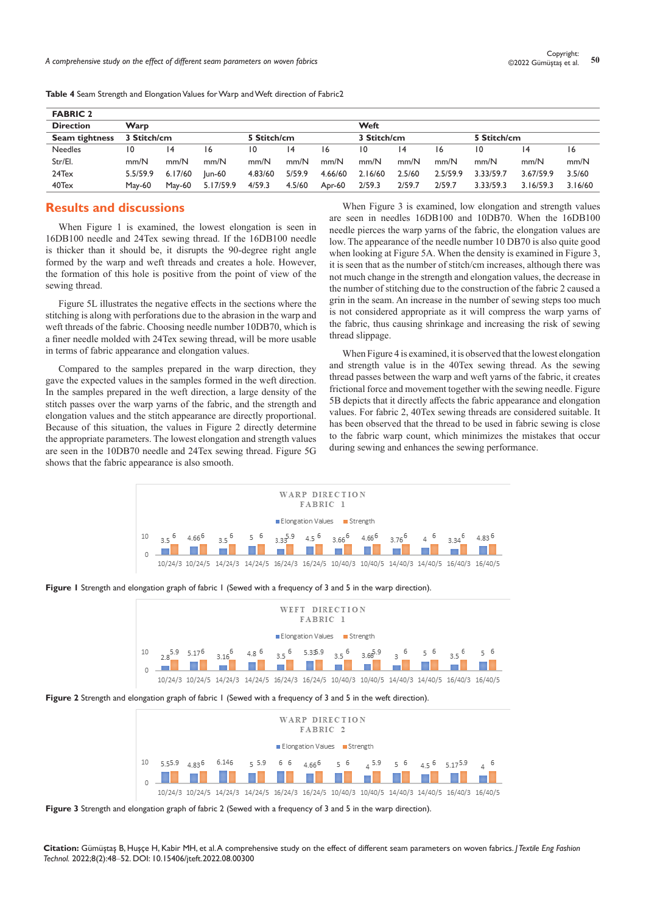| <b>FABRIC 2</b>       |          |                 |           |              |             |         |         |             |          |           |             |         |  |  |
|-----------------------|----------|-----------------|-----------|--------------|-------------|---------|---------|-------------|----------|-----------|-------------|---------|--|--|
| <b>Direction</b>      | Warp     |                 |           |              |             |         |         | Weft        |          |           |             |         |  |  |
| <b>Seam tightness</b> |          | 3 Stitch/cm     |           |              | 5 Stitch/cm |         |         | 3 Stitch/cm |          |           | 5 Stitch/cm |         |  |  |
| <b>Needles</b>        | 10       | $\overline{14}$ | 16        | $10^{\circ}$ | 14          | 16      | 10      | 14          | 16       | 10        | 14          | 16      |  |  |
| Str/El.               | mm/N     | mm/N            | mm/N      | mm/N         | mm/N        | mm/N    | mm/N    | mm/N        | mm/N     | mm/N      | mm/N        | mm/N    |  |  |
| 24Tex                 | 5.5/59.9 | 6.17/60         | lun-60    | 4.83/60      | 5/59.9      | 4.66/60 | 2.16/60 | 2.5/60      | 2.5/59.9 | 3.33/59.7 | 3.67/59.9   | 3.5/60  |  |  |
| 40Tex                 | May-60   | May-60          | 5.17/59.9 | 4/59.3       | 4.5/60      | Apr-60  | 2/59.3  | 2/59.7      | 2/59.7   | 3.33/59.3 | 3.16/59.3   | 3.16/60 |  |  |

**Table 4** Seam Strength and Elongation Values for Warp and Weft direction of Fabric2

# **Results and discussions**

When Figure 1 is examined, the lowest elongation is seen in 16DB100 needle and 24Tex sewing thread. If the 16DB100 needle is thicker than it should be, it disrupts the 90-degree right angle formed by the warp and weft threads and creates a hole. However, the formation of this hole is positive from the point of view of the sewing thread.

Figure 5L illustrates the negative effects in the sections where the stitching is along with perforations due to the abrasion in the warp and weft threads of the fabric. Choosing needle number 10DB70, which is a finer needle molded with 24Tex sewing thread, will be more usable in terms of fabric appearance and elongation values.

Compared to the samples prepared in the warp direction, they gave the expected values in the samples formed in the weft direction. In the samples prepared in the weft direction, a large density of the stitch passes over the warp yarns of the fabric, and the strength and elongation values and the stitch appearance are directly proportional. Because of this situation, the values in Figure 2 directly determine the appropriate parameters. The lowest elongation and strength values are seen in the 10DB70 needle and 24Tex sewing thread. Figure 5G shows that the fabric appearance is also smooth.

When Figure 3 is examined, low elongation and strength values are seen in needles 16DB100 and 10DB70. When the 16DB100 needle pierces the warp yarns of the fabric, the elongation values are low. The appearance of the needle number 10 DB70 is also quite good when looking at Figure 5A. When the density is examined in Figure 3, it is seen that as the number of stitch/cm increases, although there was not much change in the strength and elongation values, the decrease in the number of stitching due to the construction of the fabric 2 caused a grin in the seam. An increase in the number of sewing steps too much is not considered appropriate as it will compress the warp yarns of the fabric, thus causing shrinkage and increasing the risk of sewing thread slippage.

When Figure 4 is examined, it is observed that the lowest elongation and strength value is in the 40Tex sewing thread. As the sewing thread passes between the warp and weft yarns of the fabric, it creates frictional force and movement together with the sewing needle. Figure 5B depicts that it directly affects the fabric appearance and elongation values. For fabric 2, 40Tex sewing threads are considered suitable. It has been observed that the thread to be used in fabric sewing is close to the fabric warp count, which minimizes the mistakes that occur during sewing and enhances the sewing performance.





|    | WEFT DIRECTION<br>FABRIC 1                                                                                                                                                                                                                                                                     |  |  |                                                                                                 |  |  |  |  |  |  |  |  |  |
|----|------------------------------------------------------------------------------------------------------------------------------------------------------------------------------------------------------------------------------------------------------------------------------------------------|--|--|-------------------------------------------------------------------------------------------------|--|--|--|--|--|--|--|--|--|
|    | $\equiv$ Elongation Values $\equiv$ Strength                                                                                                                                                                                                                                                   |  |  |                                                                                                 |  |  |  |  |  |  |  |  |  |
| 10 | $2.8\frac{5.9}{2}$ $5.17\frac{6}{2}$ $3.16\frac{6}{2}$ $4.8\frac{6}{2}$ $3.5\frac{6}{2}$ $5.35.9$ $3.5\frac{6}{2}$ $3.6\frac{5.9}{2}$ $3.6\frac{6}{2}$ $3.6\frac{6}{2}$ $3.6\frac{6}{2}$ $3.6\frac{6}{2}$ $3.6\frac{6}{2}$ $3.6\frac{6}{2}$ $3.6\frac{6}{2}$ $3.6\frac{6}{2}$ $3.6\frac{6}{2}$ |  |  |                                                                                                 |  |  |  |  |  |  |  |  |  |
|    |                                                                                                                                                                                                                                                                                                |  |  | <u>i di si si si si si di si</u>                                                                |  |  |  |  |  |  |  |  |  |
|    |                                                                                                                                                                                                                                                                                                |  |  | 10/24/3 10/24/5 14/24/3 14/24/5 16/24/3 16/24/5 10/40/3 10/40/5 14/40/3 14/40/5 16/40/3 16/40/5 |  |  |  |  |  |  |  |  |  |

**Figure 2** Strength and elongation graph of fabric 1 (Sewed with a frequency of 3 and 5 in the weft direction).

| WARP DIRECTION<br>FABRIC <sub>2</sub> |                                              |  |                                         |  |  |  |  |  |  |  |                                                                                                 |  |
|---------------------------------------|----------------------------------------------|--|-----------------------------------------|--|--|--|--|--|--|--|-------------------------------------------------------------------------------------------------|--|
|                                       | $\equiv$ Elongation Values $\equiv$ Strength |  |                                         |  |  |  |  |  |  |  |                                                                                                 |  |
| 10                                    | 5.55.9                                       |  |                                         |  |  |  |  |  |  |  | $4.83^6$ $6.146$ $5.5.9$ $6.6$ $4.66^6$ $5.6$ $4.5^6$ $5.9$ $5.6$ $4.5^6$ $5.17^5.9$ $4.6$      |  |
|                                       |                                              |  | <u>nd di il di il di si si di di di</u> |  |  |  |  |  |  |  |                                                                                                 |  |
|                                       |                                              |  |                                         |  |  |  |  |  |  |  | 10/24/3 10/24/5 14/24/3 14/24/5 16/24/3 16/24/5 10/40/3 10/40/5 14/40/3 14/40/5 16/40/3 16/40/5 |  |

**Figure 3** Strength and elongation graph of fabric 2 (Sewed with a frequency of 3 and 5 in the warp direction).

**Citation:** Gümüştaş B, Huşçe H, Kabir MH, et al. A comprehensive study on the effect of different seam parameters on woven fabrics. *J Textile Eng Fashion Technol.* 2022;8(2):48‒52. DOI: [10.15406/jteft.2022.08.00300](https://doi.org/10.15406/jteft.2022.08.00300)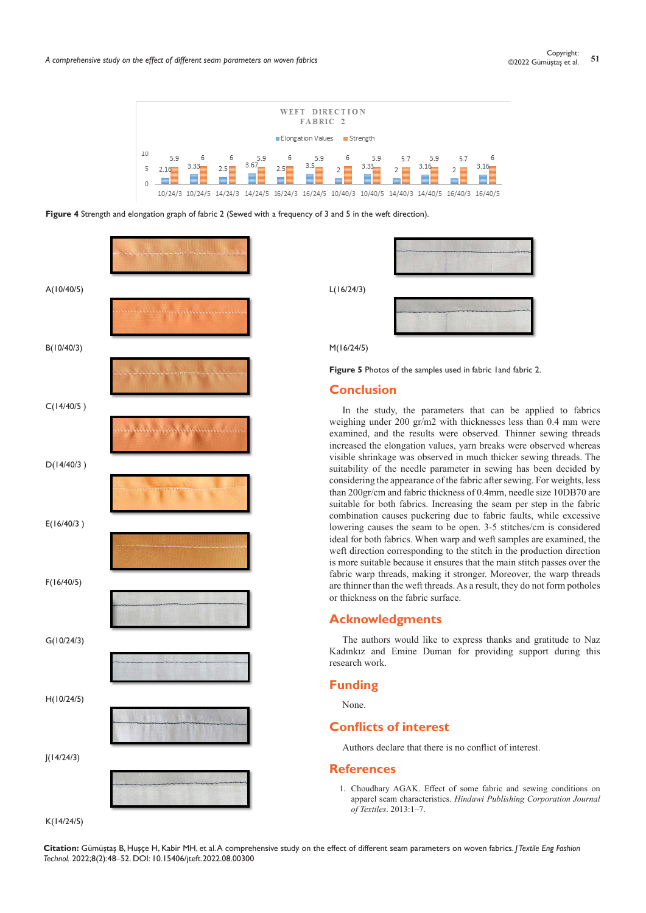

**Figure 4** Strength and elongation graph of fabric 2 (Sewed with a frequency of 3 and 5 in the weft direction).



L(16/24/3)



M(16/24/5)

Figure 5 Photos of the samples used in fabric 1 and fabric 2.

# **Conclusion**

In the study, the parameters that can be applied to fabrics weighing under 200 gr/m2 with thicknesses less than 0.4 mm were examined, and the results were observed. Thinner sewing threads increased the elongation values, yarn breaks were observed whereas visible shrinkage was observed in much thicker sewing threads. The suitability of the needle parameter in sewing has been decided by considering the appearance of the fabric after sewing. For weights, less than 200gr/cm and fabric thickness of 0.4mm, needle size 10DB70 are suitable for both fabrics. Increasing the seam per step in the fabric combination causes puckering due to fabric faults, while excessive lowering causes the seam to be open. 3-5 stitches/cm is considered ideal for both fabrics. When warp and weft samples are examined, the weft direction corresponding to the stitch in the production direction is more suitable because it ensures that the main stitch passes over the fabric warp threads, making it stronger. Moreover, the warp threads are thinner than the weft threads. As a result, they do not form potholes or thickness on the fabric surface.

#### **Acknowledgments**

The authors would like to express thanks and gratitude to Naz Kadınkız and Emine Duman for providing support during this research work.

### **Funding**

None.

# **Conflicts of interest**

Authors declare that there is no conflict of interest.

#### **References**

1. [Choudhary AGAK. Effect of some fabric and sewing conditions on](https://www.hindawi.com/journals/jtex/2013/157034/)  apparel seam characteristics. *[Hindawi Publishing Corporation Journal](https://www.hindawi.com/journals/jtex/2013/157034/)  of Textiles*[. 2013:1–7.](https://www.hindawi.com/journals/jtex/2013/157034/)

**Citation:** Gümüştaş B, Huşçe H, Kabir MH, et al. A comprehensive study on the effect of different seam parameters on woven fabrics. *J Textile Eng Fashion Technol.* 2022;8(2):48‒52. DOI: [10.15406/jteft.2022.08.00300](https://doi.org/10.15406/jteft.2022.08.00300)